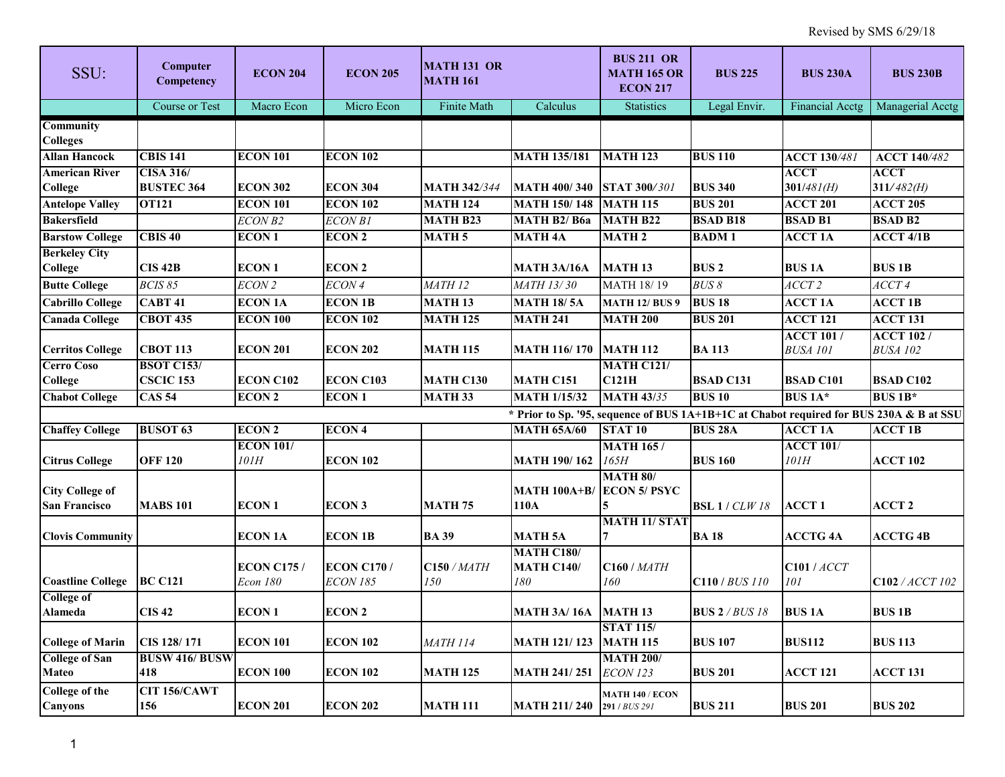| SSU:                                           | Computer<br>Competency                | <b>ECON 204</b>                | <b>ECON 205</b>                      | <b>MATH 131 OR</b><br><b>MATH 161</b> |                                               | <b>BUS 211 OR</b><br><b>MATH 165 OR</b><br><b>ECON 217</b> | <b>BUS 225</b>                                                                          | <b>BUS 230A</b>                     | <b>BUS 230B</b>                     |
|------------------------------------------------|---------------------------------------|--------------------------------|--------------------------------------|---------------------------------------|-----------------------------------------------|------------------------------------------------------------|-----------------------------------------------------------------------------------------|-------------------------------------|-------------------------------------|
|                                                | Course or Test                        | Macro Econ                     | Micro Econ                           | Finite Math                           | Calculus                                      | <b>Statistics</b>                                          | Legal Envir.                                                                            | Financial Acctg                     | Managerial Acctg                    |
| <b>Community</b><br><b>Colleges</b>            |                                       |                                |                                      |                                       |                                               |                                                            |                                                                                         |                                     |                                     |
| <b>Allan Hancock</b>                           | <b>CBIS 141</b>                       | <b>ECON 101</b>                | <b>ECON 102</b>                      |                                       | <b>MATH 135/181</b>                           | <b>MATH 123</b>                                            | <b>BUS 110</b>                                                                          | <b>ACCT 130/481</b>                 | <b>ACCT 140/482</b>                 |
| <b>American River</b><br><b>College</b>        | <b>CISA 316/</b><br><b>BUSTEC 364</b> | <b>ECON 302</b>                | <b>ECON 304</b>                      | <b>MATH 342/344</b>                   | <b>MATH 400/340</b>                           | <b>STAT 300/301</b>                                        | <b>BUS 340</b>                                                                          | <b>ACCT</b><br>$301/481$ (H)        | <b>ACCT</b><br>$311/482$ (H)        |
| <b>Antelope Valley</b>                         | <b>OT121</b>                          | <b>ECON 101</b>                | <b>ECON 102</b>                      | <b>MATH 124</b>                       | <b>MATH 150/148</b>                           | <b>MATH 115</b>                                            | <b>BUS 201</b>                                                                          | <b>ACCT 201</b>                     | <b>ACCT 205</b>                     |
| <b>Bakersfield</b>                             |                                       | ECON B <sub>2</sub>            | <b>ECON B1</b>                       | <b>MATH B23</b>                       | MATH B2/B6a                                   | <b>MATH B22</b>                                            | <b>BSAD B18</b>                                                                         | <b>BSAD B1</b>                      | <b>BSAD B2</b>                      |
| <b>Barstow College</b>                         | CBIS <sub>40</sub>                    | <b>ECON1</b>                   | <b>ECON 2</b>                        | <b>MATH 5</b>                         | <b>MATH 4A</b>                                | <b>MATH 2</b>                                              | <b>BADM1</b>                                                                            | <b>ACCT 1A</b>                      | $ACCT$ 4/1B                         |
| <b>Berkeley City</b><br><b>College</b>         | <b>CIS 42B</b>                        | <b>ECON1</b>                   | <b>ECON 2</b>                        |                                       | <b>MATH 3A/16A</b>                            | <b>MATH 13</b>                                             | <b>BUS2</b>                                                                             | <b>BUS1A</b>                        | <b>BUS 1B</b>                       |
| <b>Butte College</b>                           | BCIS 85                               | ECON 2                         | ECON 4                               | MATH <sub>12</sub>                    | MATH 13/30                                    | MATH 18/19                                                 | <b>BUS 8</b>                                                                            | ACCT <sub>2</sub>                   | $ACCT$ 4                            |
| <b>Cabrillo College</b>                        | <b>CABT 41</b>                        | <b>ECON 1A</b>                 | <b>ECON 1B</b>                       | <b>MATH 13</b>                        | <b>MATH 18/5A</b>                             | <b>MATH 12/ BUS 9</b>                                      | <b>BUS 18</b>                                                                           | <b>ACCT 1A</b>                      | <b>ACCT 1B</b>                      |
| <b>Canada College</b>                          | <b>CBOT 435</b>                       | <b>ECON 100</b>                | <b>ECON 102</b>                      | <b>MATH 125</b>                       | <b>MATH 241</b>                               | <b>MATH 200</b>                                            | <b>BUS 201</b>                                                                          | <b>ACCT 121</b>                     | <b>ACCT 131</b>                     |
| <b>Cerritos College</b>                        | <b>СВОТ 113</b>                       | <b>ECON 201</b>                | <b>ECON 202</b>                      | <b>MATH 115</b>                       | <b>MATH 116/170</b>                           | <b>MATH 112</b>                                            | <b>BA113</b>                                                                            | <b>ACCT 101/</b><br><b>BUSA 101</b> | <b>ACCT 102/</b><br><b>BUSA 102</b> |
| <b>Cerro Coso</b><br><b>College</b>            | <b>BSOT C153/</b><br><b>CSCIC 153</b> | <b>ECON C102</b>               | <b>ECON C103</b>                     | <b>MATH C130</b>                      | MATH C151                                     | <b>MATH C121/</b><br>C121H                                 | <b>BSAD C131</b>                                                                        | <b>BSAD C101</b>                    | <b>BSAD C102</b>                    |
| <b>Chabot College</b>                          | <b>CAS 54</b>                         | <b>ECON 2</b>                  | <b>ECON1</b>                         | <b>MATH 33</b>                        | <b>MATH 1/15/32</b>                           | <b>MATH 43/35</b>                                          | <b>BUS 10</b>                                                                           | BUS 1A*                             | <b>BUS 1B*</b>                      |
|                                                |                                       |                                |                                      |                                       |                                               |                                                            | * Prior to Sp. '95, sequence of BUS 1A+1B+1C at Chabot required for BUS 230A & B at SSU |                                     |                                     |
| <b>Chaffey College</b>                         | <b>BUSOT 63</b>                       | <b>ECON 2</b>                  | <b>ECON4</b>                         |                                       | <b>MATH 65A/60</b>                            | STAT <sub>10</sub>                                         | <b>BUS 28A</b>                                                                          | <b>ACCT 1A</b>                      | <b>ACCT 1B</b>                      |
| <b>Citrus College</b>                          | <b>OFF 120</b>                        | <b>ECON 101/</b><br>101H       | <b>ECON 102</b>                      |                                       | <b>MATH 190/162</b>                           | <b>MATH 165 /</b><br>165H                                  | <b>BUS 160</b>                                                                          | <b>ACCT 101/</b><br>101H            | <b>ACCT 102</b>                     |
| <b>City College of</b><br><b>San Francisco</b> | <b>MABS 101</b>                       | <b>ECON1</b>                   | <b>ECON3</b>                         | <b>MATH 75</b>                        | <b>MATH 100A+B/</b><br>110A                   | <b>MATH 80/</b><br><b>ECON 5/ PSYC</b>                     | <b>BSL</b> 1 / <i>CLW</i> 18                                                            | <b>ACCT1</b>                        | <b>ACCT 2</b>                       |
| <b>Clovis Community</b>                        |                                       | <b>ECON 1A</b>                 | <b>ECON 1B</b>                       | <b>BA 39</b>                          | <b>MATH 5A</b>                                | <b>MATH 11/ STAT</b><br>7                                  | <b>BA18</b>                                                                             | <b>ACCTG 4A</b>                     | <b>ACCTG 4B</b>                     |
| <b>Coastline College</b>                       | <b>BC C121</b>                        | <b>ECON C175 /</b><br>Econ 180 | <b>ECON C170/</b><br><b>ECON 185</b> | <b>C150 / MATH</b><br>150             | <b>MATH C180/</b><br><b>MATH C140/</b><br>180 | <b>C160 / MATH</b><br>160                                  | C110 / BUS 110                                                                          | <b>C101</b> / ACCT<br>$101\,$       | C102 / ACCT 102                     |
| <b>College of</b>                              |                                       |                                |                                      |                                       |                                               |                                                            |                                                                                         |                                     |                                     |
| <b>Alameda</b>                                 | <b>CIS42</b>                          | <b>ECON1</b>                   | <b>ECON 2</b>                        |                                       | <b>MATH 3A/16A MATH 13</b>                    |                                                            | <b>BUS 2</b> / <i>BUS 18</i>                                                            | <b>BUS 1A</b>                       | <b>BUS 1B</b>                       |
| <b>College of Marin</b>                        | CIS 128/171                           | <b>ECON 101</b>                | <b>ECON 102</b>                      | <b>MATH 114</b>                       | <b>MATH 121/123</b>                           | <b>STAT 115/</b><br><b>MATH 115</b>                        | <b>BUS 107</b>                                                                          | <b>BUS112</b>                       | <b>BUS 113</b>                      |
| <b>College of San</b><br><b>Mateo</b>          | <b>BUSW 416/ BUSW</b><br>418          | <b>ECON 100</b>                | <b>ECON 102</b>                      | <b>MATH 125</b>                       | <b>MATH 241/251</b>                           | <b>MATH 200/</b><br><b>ECON 123</b>                        | <b>BUS 201</b>                                                                          | <b>ACCT 121</b>                     | <b>ACCT 131</b>                     |
| College of the<br><b>Canyons</b>               | CIT 156/CAWT<br>156                   | <b>ECON 201</b>                | <b>ECON 202</b>                      | <b>MATH 111</b>                       | <b>MATH 211/240</b>                           | <b>MATH 140 / ECON</b><br>291 / BUS 291                    | <b>BUS 211</b>                                                                          | <b>BUS 201</b>                      | <b>BUS 202</b>                      |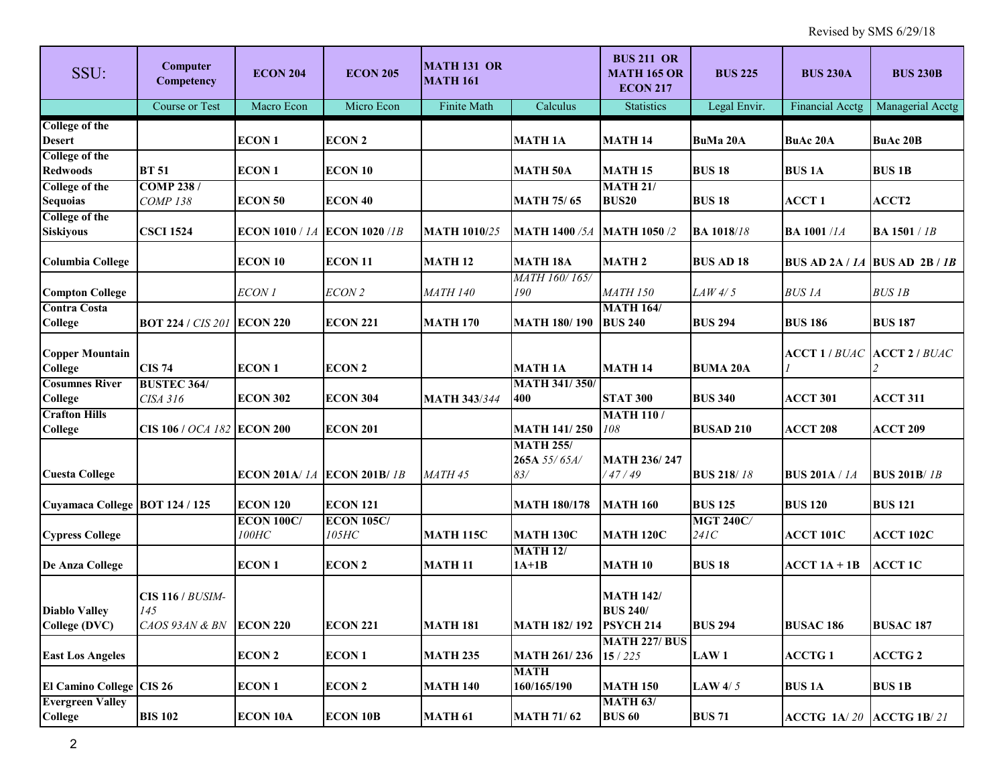| SSU:                                      | Computer<br>Competency                           | <b>ECON 204</b>                      | <b>ECON 205</b>            | <b>MATH 131 OR</b><br><b>MATH 161</b> |                                         | <b>BUS 211 OR</b><br><b>MATH 165 OR</b><br><b>ECON 217</b> | <b>BUS 225</b>           | <b>BUS 230A</b>             | <b>BUS 230B</b>                   |
|-------------------------------------------|--------------------------------------------------|--------------------------------------|----------------------------|---------------------------------------|-----------------------------------------|------------------------------------------------------------|--------------------------|-----------------------------|-----------------------------------|
|                                           | <b>Course or Test</b>                            | Macro Econ                           | Micro Econ                 | Finite Math                           | Calculus                                | <b>Statistics</b>                                          | Legal Envir.             | <b>Financial Acctg</b>      | Managerial Acctg                  |
| <b>College of the</b><br><b>Desert</b>    |                                                  | <b>ECON1</b>                         | <b>ECON 2</b>              |                                       | <b>MATH 1A</b>                          | <b>MATH 14</b>                                             | <b>BuMa 20A</b>          | <b>BuAc 20A</b>             | <b>BuAc 20B</b>                   |
| <b>College of the</b><br><b>Redwoods</b>  | <b>BT 51</b>                                     | <b>ECON1</b>                         | ECON 10                    |                                       | <b>MATH 50A</b>                         | <b>MATH 15</b>                                             | <b>BUS 18</b>            | <b>BUS1A</b>                | <b>BUS 1B</b>                     |
| <b>College of the</b><br><b>Sequoias</b>  | <b>COMP 238/</b><br><b>COMP 138</b>              | <b>ECON 50</b>                       | ECON 40                    |                                       | <b>MATH 75/65</b>                       | <b>MATH 21/</b><br><b>BUS20</b>                            | <b>BUS 18</b>            | <b>ACCT1</b>                | ACCT2                             |
| <b>College of the</b><br><b>Siskiyous</b> | <b>CSCI 1524</b>                                 | <b>ECON 1010 / 1A ECON 1020 / 1B</b> |                            | <b>MATH 1010/25</b>                   | <b>MATH 1400 /5A</b>                    | <b>MATH 1050 /2</b>                                        | <b>BA 1018/18</b>        | <b>BA 1001/1A</b>           | <b>BA 1501</b> / 1B               |
| <b>Columbia College</b>                   |                                                  | ECON 10                              | <b>ECON 11</b>             | <b>MATH 12</b>                        | <b>MATH 18A</b>                         | <b>MATH2</b>                                               | <b>BUS AD 18</b>         |                             | BUS AD 2A / $1A$ BUS AD 2B / $1B$ |
| <b>Compton College</b>                    |                                                  | ECON 1                               | ECON 2                     | <b>MATH 140</b>                       | MATH 160/165/<br>190                    | <b>MATH 150</b>                                            | LAW4/5                   | <b>BUS1A</b>                | <b>BUS 1B</b>                     |
| <b>Contra Costa</b><br>College            | <b>BOT 224 / CIS 201 ECON 220</b>                |                                      | <b>ECON 221</b>            | <b>MATH 170</b>                       | <b>MATH 180/190</b>                     | <b>MATH 164/</b><br><b>BUS 240</b>                         | <b>BUS 294</b>           | <b>BUS 186</b>              | <b>BUS 187</b>                    |
| <b>Copper Mountain</b><br>College         | <b>CIS 74</b>                                    | <b>ECON1</b>                         | <b>ECON 2</b>              |                                       | <b>MATH 1A</b>                          | <b>MATH 14</b>                                             | <b>BUMA 20A</b>          | <b>ACCT 1 / BUAC</b>        | <b>ACCT 2 / BUAC</b>              |
| <b>Cosumnes River</b><br>College          | <b>BUSTEC 364/</b><br>CISA 316                   | <b>ECON 302</b>                      | <b>ECON 304</b>            | <b>MATH 343/344</b>                   | <b>MATH 341/350/</b><br>400             | <b>STAT 300</b>                                            | <b>BUS 340</b>           | <b>ACCT 301</b>             | <b>ACCT 311</b>                   |
| <b>Crafton Hills</b><br>College           | CIS 106 / <i>OCA 182</i> ECON 200                |                                      | <b>ECON 201</b>            |                                       | <b>MATH 141/250</b>                     | <b>MATH 110/</b><br>108                                    | <b>BUSAD 210</b>         | <b>ACCT 208</b>             | <b>ACCT 209</b>                   |
| <b>Cuesta College</b>                     |                                                  | <b>ECON 201A/ 1A ECON 201B/ 1B</b>   |                            | MATH 45                               | <b>MATH 255/</b><br>265A 55/65A/<br>83/ | <b>MATH 236/247</b><br>47/49                               | <b>BUS 218/18</b>        | <b>BUS 201A</b> / 1A        | <b>BUS 201B/1B</b>                |
| Cuyamaca College BOT 124 / 125            |                                                  | <b>ECON 120</b>                      | <b>ECON 121</b>            |                                       | <b>MATH 180/178</b>                     | <b>MATH 160</b>                                            | <b>BUS 125</b>           | <b>BUS 120</b>              | <b>BUS 121</b>                    |
| <b>Cypress College</b>                    |                                                  | <b>ECON 100C/</b><br>$100$ HC        | <b>ECON 105C/</b><br>105HC | <b>MATH 115C</b>                      | <b>MATH 130C</b>                        | <b>MATH 120C</b>                                           | <b>MGT 240C/</b><br>241C | <b>ACCT 101C</b>            | <b>ACCT 102C</b>                  |
| <b>De Anza College</b>                    |                                                  | <b>ECON1</b>                         | <b>ECON 2</b>              | <b>MATH 11</b>                        | <b>MATH 12/</b><br>$1A+1B$              | <b>MATH 10</b>                                             | <b>BUS 18</b>            | $ACCT 1A + 1B$              | <b>ACCT 1C</b>                    |
| <b>Diablo Valley</b><br>College (DVC)     | <b>CIS 116 / BUSIM-</b><br>145<br>CAOS 93AN & BN | <b>ECON 220</b>                      | <b>ECON 221</b>            | <b>MATH 181</b>                       | MATH 182/192 PSYCH 214                  | <b>MATH 142/</b><br><b>BUS 240/</b>                        | <b>BUS 294</b>           | <b>BUSAC 186</b>            | <b>BUSAC 187</b>                  |
| <b>East Los Angeles</b>                   |                                                  | <b>ECON 2</b>                        | <b>ECON1</b>               | <b>MATH 235</b>                       | <b>MATH 261/236</b>                     | <b>MATH 227/ BUS</b><br>15/225                             | <b>LAW1</b>              | <b>ACCTG1</b>               | <b>ACCTG 2</b>                    |
| <b>El Camino College CIS 26</b>           |                                                  | <b>ECON1</b>                         | <b>ECON 2</b>              | <b>MATH 140</b>                       | <b>MATH</b><br>160/165/190              | <b>MATH 150</b>                                            | LAW $4/5$                | <b>BUS 1A</b>               | <b>BUS 1B</b>                     |
| <b>Evergreen Valley</b><br><b>College</b> | <b>BIS 102</b>                                   | <b>ECON 10A</b>                      | <b>ECON 10B</b>            | <b>MATH 61</b>                        | <b>MATH 71/62</b>                       | <b>MATH 63/</b><br><b>BUS 60</b>                           | <b>BUS 71</b>            | ACCTG $1A/20$ ACCTG $1B/21$ |                                   |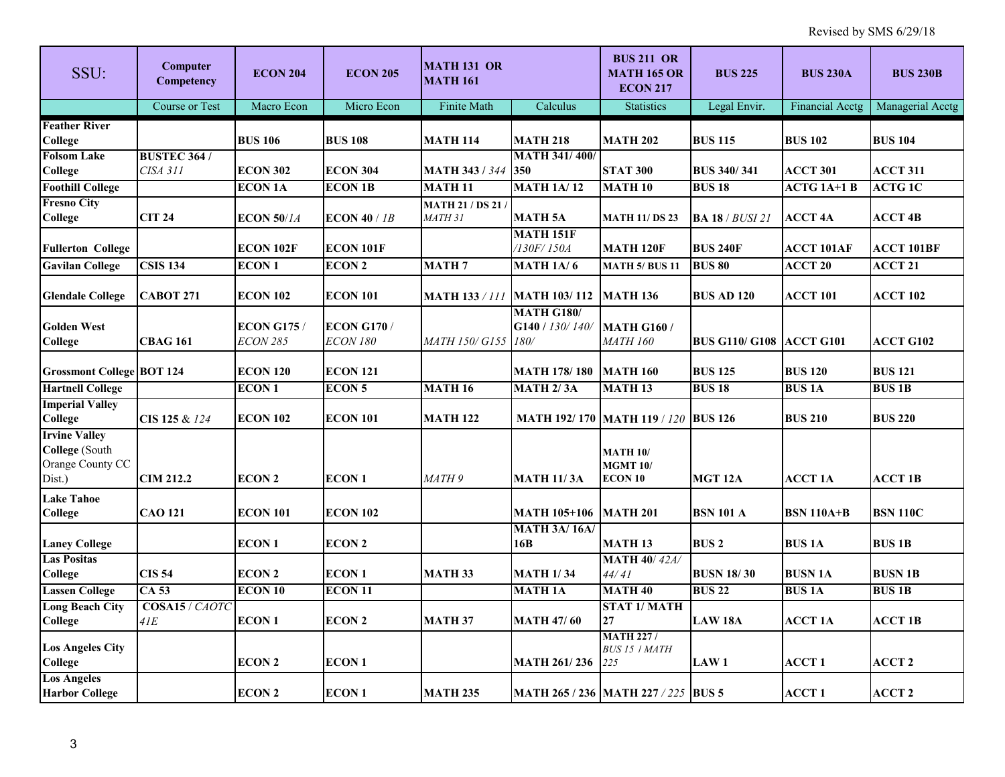| SSU:                                                                 | <b>Computer</b><br>Competency  | <b>ECON 204</b>                       | <b>ECON 205</b>                      | <b>MATH 131 OR</b><br><b>MATH 161</b>      |                                              | <b>BUS 211 OR</b><br><b>MATH 165 OR</b><br><b>ECON 217</b> | <b>BUS 225</b>                  | <b>BUS 230A</b>        | <b>BUS 230B</b>   |
|----------------------------------------------------------------------|--------------------------------|---------------------------------------|--------------------------------------|--------------------------------------------|----------------------------------------------|------------------------------------------------------------|---------------------------------|------------------------|-------------------|
|                                                                      | <b>Course or Test</b>          | Macro Econ                            | Micro Econ                           | Finite Math                                | Calculus                                     | <b>Statistics</b>                                          | Legal Envir.                    | <b>Financial Acctg</b> | Managerial Acctg  |
| <b>Feather River</b><br>College                                      |                                | <b>BUS 106</b>                        | <b>BUS 108</b>                       | <b>MATH 114</b>                            | <b>MATH 218</b>                              | <b>MATH 202</b>                                            | <b>BUS 115</b>                  | <b>BUS 102</b>         | <b>BUS 104</b>    |
| <b>Folsom Lake</b><br>College                                        | <b>BUSTEC 364/</b><br>CISA 311 | <b>ECON 302</b>                       | <b>ECON 304</b>                      | <b>MATH 343 / 344 350</b>                  | <b>MATH 341/400/</b>                         | <b>STAT 300</b>                                            | <b>BUS 340/341</b>              | <b>ACCT 301</b>        | <b>ACCT 311</b>   |
| <b>Foothill College</b>                                              |                                | <b>ECON 1A</b>                        | <b>ECON 1B</b>                       | <b>MATH 11</b>                             | <b>MATH 1A/12</b>                            | <b>MATH 10</b>                                             | <b>BUS 18</b>                   | <b>ACTG 1A+1 B</b>     | <b>ACTG1C</b>     |
| <b>Fresno City</b><br>College                                        | <b>CIT 24</b>                  | $ECON$ 50/14                          | ECON $40/1B$                         | <b>MATH 21 / DS 21 /</b><br><b>MATH 31</b> | <b>MATH 5A</b>                               | <b>MATH 11/ DS 23</b>                                      | <b>BA 18</b> / <i>BUSI 21</i>   | <b>ACCT 4A</b>         | <b>ACCT 4B</b>    |
| <b>Fullerton College</b>                                             |                                | <b>ECON 102F</b>                      | <b>ECON 101F</b>                     |                                            | <b>MATH 151F</b><br>/130F/150A               | <b>MATH 120F</b>                                           | <b>BUS 240F</b>                 | <b>ACCT 101AF</b>      | <b>ACCT 101BF</b> |
| <b>Gavilan College</b>                                               | <b>CSIS 134</b>                | <b>ECON1</b>                          | <b>ECON 2</b>                        | <b>MATH7</b>                               | <b>MATH 1A/6</b>                             | <b>MATH 5/ BUS 11</b>                                      | <b>BUS 80</b>                   | <b>ACCT 20</b>         | <b>ACCT 21</b>    |
| <b>Glendale College</b>                                              | <b>CABOT 271</b>               | <b>ECON 102</b>                       | <b>ECON 101</b>                      | <b>MATH 133 / 111</b>                      | <b>MATH 103/112</b>                          | <b>MATH 136</b>                                            | <b>BUS AD 120</b>               | ACCT 101               | <b>ACCT 102</b>   |
| <b>Golden West</b><br>College                                        | <b>CBAG 161</b>                | <b>ECON G175 /</b><br><b>ECON 285</b> | <b>ECON G170/</b><br><b>ECON 180</b> | MATH 150/ G155                             | <b>MATH G180/</b><br>G140 / 130/140/<br>180/ | <b>MATH G160 /</b><br><b>MATH 160</b>                      | <b>BUS G110/ G108 ACCT G101</b> |                        | <b>ACCT G102</b>  |
| <b>Grossmont College BOT 124</b>                                     |                                | <b>ECON 120</b>                       | <b>ECON 121</b>                      |                                            | MATH 178/180                                 | <b>MATH 160</b>                                            | <b>BUS 125</b>                  | <b>BUS 120</b>         | <b>BUS 121</b>    |
| <b>Hartnell College</b>                                              |                                | <b>ECON1</b>                          | <b>ECON 5</b>                        | <b>MATH 16</b>                             | <b>MATH 2/3A</b>                             | <b>MATH 13</b>                                             | <b>BUS 18</b>                   | <b>BUS1A</b>           | <b>BUS 1B</b>     |
| <b>Imperial Valley</b><br>College                                    | CIS 125 & 124                  | <b>ECON 102</b>                       | <b>ECON 101</b>                      | <b>MATH 122</b>                            |                                              | MATH 192/170 MATH 119 / 120 BUS 126                        |                                 | <b>BUS 210</b>         | <b>BUS 220</b>    |
| <b>Irvine Valley</b><br>College (South<br>Orange County CC<br>Dist.) | <b>CIM 212.2</b>               | <b>ECON 2</b>                         | <b>ECON1</b>                         | MATH <sub>9</sub>                          | <b>MATH 11/3A</b>                            | <b>MATH 10/</b><br><b>MGMT 10/</b><br><b>ECON 10</b>       | MGT <sub>12A</sub>              | <b>ACCT 1A</b>         | <b>ACCT 1B</b>    |
| <b>Lake Tahoe</b><br>College                                         | <b>CAO 121</b>                 | <b>ECON 101</b>                       | <b>ECON 102</b>                      |                                            | <b>MATH 105+106</b>                          | <b>MATH 201</b>                                            | <b>BSN 101 A</b>                | <b>BSN 110A+B</b>      | <b>BSN 110C</b>   |
| <b>Laney College</b>                                                 |                                | <b>ECON1</b>                          | <b>ECON 2</b>                        |                                            | <b>MATH 3A/16A/</b><br>16B                   | <b>MATH 13</b>                                             | <b>BUS2</b>                     | <b>BUS1A</b>           | <b>BUS 1B</b>     |
| <b>Las Positas</b>                                                   |                                |                                       |                                      |                                            |                                              | <b>MATH 40/42A/</b>                                        |                                 |                        |                   |
| College                                                              | <b>CIS 54</b>                  | <b>ECON 2</b>                         | <b>ECON1</b>                         | <b>MATH 33</b>                             | <b>MATH 1/34</b>                             | 44/41                                                      | <b>BUSN 18/30</b>               | <b>BUSN 1A</b>         | <b>BUSN 1B</b>    |
| <b>Lassen College</b>                                                | $CA$ 53                        | <b>ECON 10</b>                        | <b>ECON 11</b>                       |                                            | <b>MATH 1A</b>                               | <b>MATH 40</b>                                             | <b>BUS 22</b>                   | <b>BUS1A</b>           | <b>BUS1B</b>      |
| <b>Long Beach City</b><br>College                                    | COSA15 / CAOTC<br>41E          | <b>ECON1</b>                          | <b>ECON 2</b>                        | <b>MATH 37</b>                             | <b>MATH 47/60</b>                            | <b>STAT 1/ MATH</b><br>27                                  | <b>LAW 18A</b>                  | <b>ACCT 1A</b>         | <b>ACCT 1B</b>    |
| <b>Los Angeles City</b><br>College                                   |                                | <b>ECON 2</b>                         | <b>ECON1</b>                         |                                            | <b>MATH 261/236</b>                          | <b>MATH 227/</b><br><b>BUS 15 / MATH</b><br>225            | <b>LAW1</b>                     | <b>ACCT1</b>           | <b>ACCT 2</b>     |
| <b>Los Angeles</b><br><b>Harbor College</b>                          |                                | <b>ECON 2</b>                         | <b>ECON1</b>                         | <b>MATH 235</b>                            |                                              | <b>MATH 265 / 236 MATH 227 / 225 BUS 5</b>                 |                                 | <b>ACCT1</b>           | <b>ACCT 2</b>     |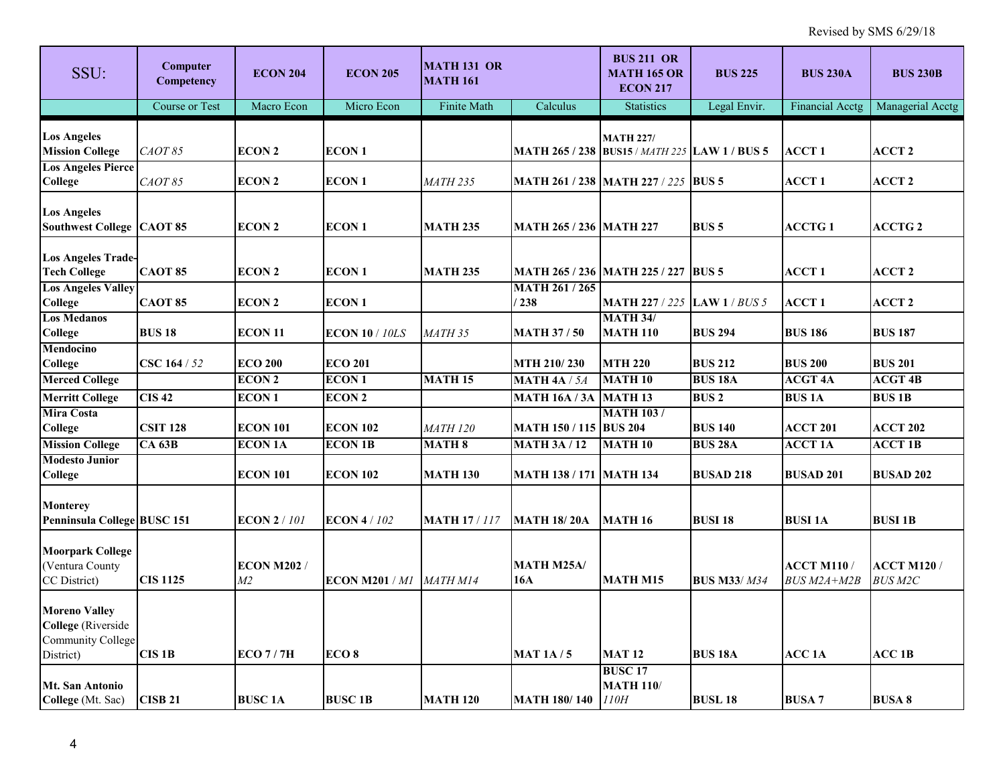| SSU:                                                                                       | <b>Computer</b><br>Competency | <b>ECON 204</b>                      | <b>ECON 205</b>       | <b>MATH 131 OR</b><br><b>MATH 161</b> |                               | <b>BUS 211 OR</b><br><b>MATH 165 OR</b><br><b>ECON 217</b>            | <b>BUS 225</b>     | <b>BUS 230A</b>                  | <b>BUS 230B</b>                      |
|--------------------------------------------------------------------------------------------|-------------------------------|--------------------------------------|-----------------------|---------------------------------------|-------------------------------|-----------------------------------------------------------------------|--------------------|----------------------------------|--------------------------------------|
|                                                                                            | <b>Course or Test</b>         | Macro Econ                           | Micro Econ            | Finite Math                           | Calculus                      | <b>Statistics</b>                                                     | Legal Envir.       | Financial Acctg                  | Managerial Acctg                     |
| <b>Los Angeles</b><br><b>Mission College</b>                                               | CAOT 85                       | <b>ECON 2</b>                        | <b>ECON1</b>          |                                       |                               | <b>MATH 227/</b><br>MATH 265 / 238   BUS15 / MATH 225   LAW 1 / BUS 5 |                    | <b>ACCT1</b>                     | ACCT <sub>2</sub>                    |
| <b>Los Angeles Pierce</b><br>College                                                       | CAOT 85                       | <b>ECON 2</b>                        | <b>ECON1</b>          | <i>MATH 235</i>                       |                               | MATH 261 / 238  MATH 227 / 225  BUS 5                                 |                    | <b>ACCT 1</b>                    | <b>ACCT 2</b>                        |
| <b>Los Angeles</b><br><b>Southwest College   CAOT 85</b>                                   |                               | <b>ECON 2</b>                        | <b>ECON1</b>          | <b>MATH 235</b>                       | MATH 265 / 236  MATH 227      |                                                                       | <b>BUS5</b>        | <b>ACCTG1</b>                    | <b>ACCTG 2</b>                       |
| <b>Los Angeles Trade-</b><br><b>Tech College</b>                                           | <b>CAOT 85</b>                | <b>ECON 2</b>                        | <b>ECON1</b>          | <b>MATH 235</b>                       |                               | <b>MATH 265 / 236   MATH 225 / 227   BUS 5</b>                        |                    | <b>ACCT1</b>                     | ACCT 2                               |
| <b>Los Angeles Valley</b><br>College                                                       | <b>CAOT 85</b>                | <b>ECON 2</b>                        | <b>ECON1</b>          |                                       | <b>MATH 261 / 265</b><br>1238 | <b>MATH 227 / 225 LAW 1 / BUS 5</b>                                   |                    | <b>ACCT1</b>                     | ACCT 2                               |
| <b>Los Medanos</b><br>College                                                              | <b>BUS 18</b>                 | <b>ECON 11</b>                       | <b>ECON 10 / 10LS</b> | <b>MATH 35</b>                        | <b>MATH 37/50</b>             | <b>MATH 34/</b><br><b>MATH 110</b>                                    | <b>BUS 294</b>     | <b>BUS 186</b>                   | <b>BUS 187</b>                       |
| Mendocino<br>College                                                                       | CSC 164 / 52                  | <b>ECO 200</b>                       | <b>ECO 201</b>        |                                       | MTH 210/230                   | <b>MTH 220</b>                                                        | <b>BUS 212</b>     | <b>BUS 200</b>                   | <b>BUS 201</b>                       |
| <b>Merced College</b>                                                                      |                               | <b>ECON 2</b>                        | <b>ECON1</b>          | <b>MATH 15</b>                        | <b>MATH 4A / 5A</b>           | <b>MATH 10</b>                                                        | <b>BUS 18A</b>     | <b>ACGT 4A</b>                   | <b>ACGT 4B</b>                       |
| <b>Merritt College</b>                                                                     | <b>CIS42</b>                  | <b>ECON1</b>                         | <b>ECON 2</b>         |                                       | <b>MATH 16A / 3A</b>          | <b>MATH 13</b>                                                        | <b>BUS2</b>        | <b>BUS1A</b>                     | <b>BUS 1B</b>                        |
| <b>Mira Costa</b><br>College                                                               | <b>CSIT 128</b>               | <b>ECON 101</b>                      | <b>ECON 102</b>       | <i>MATH 120</i>                       | <b>MATH 150 / 115 BUS 204</b> | <b>MATH 103/</b>                                                      | <b>BUS 140</b>     | <b>ACCT 201</b>                  | <b>ACCT 202</b>                      |
| <b>Mission College</b>                                                                     | CA <sub>63B</sub>             | <b>ECON 1A</b>                       | <b>ECON 1B</b>        | <b>MATH 8</b>                         | <b>MATH 3A / 12</b>           | <b>MATH 10</b>                                                        | <b>BUS 28A</b>     | <b>ACCT 1A</b>                   | <b>ACCT 1B</b>                       |
| <b>Modesto Junior</b><br>College                                                           |                               | <b>ECON 101</b>                      | <b>ECON 102</b>       | <b>MATH 130</b>                       | МАТН 138 / 171  МАТН 134      |                                                                       | <b>BUSAD 218</b>   | <b>BUSAD 201</b>                 | <b>BUSAD 202</b>                     |
| Monterey<br>Penninsula College BUSC 151                                                    |                               | <b>ECON 2/101</b>                    | <b>ECON 4/102</b>     | <b>MATH 17/117</b>                    | <b>MATH 18/20A</b>            | <b>MATH 16</b>                                                        | <b>BUSI 18</b>     | <b>BUSI 1A</b>                   | <b>BUSI 1B</b>                       |
| <b>Moorpark College</b><br>(Ventura County<br>CC District)                                 | <b>CIS 1125</b>               | <b>ECON M202 /</b><br>M <sub>2</sub> | ECON M201/M1          | MATH M14                              | <b>MATH M25A/</b><br>16A      | <b>MATH M15</b>                                                       | <b>BUS M33/M34</b> | <b>ACCT M110/</b><br>BUS M2A+M2B | <b>ACCT M120 /</b><br><b>BUS M2C</b> |
| <b>Moreno Valley</b><br><b>College</b> (Riverside<br><b>Community College</b><br>District) | <b>CIS 1B</b>                 | ECO7/7H                              | ECO <sub>8</sub>      |                                       | <b>MAT 1A/5</b>               | <b>MAT 12</b>                                                         | <b>BUS 18A</b>     | <b>ACC 1A</b>                    | $ACC$ 1B                             |
| <b>Mt. San Antonio</b><br>College (Mt. Sac)                                                | <b>CISB 21</b>                | <b>BUSC 1A</b>                       | <b>BUSC 1B</b>        | <b>MATH 120</b>                       | <b>MATH 180/140</b>           | <b>BUSC 17</b><br><b>MATH 110/</b><br>110H                            | <b>BUSL 18</b>     | <b>BUSA 7</b>                    | <b>BUSA 8</b>                        |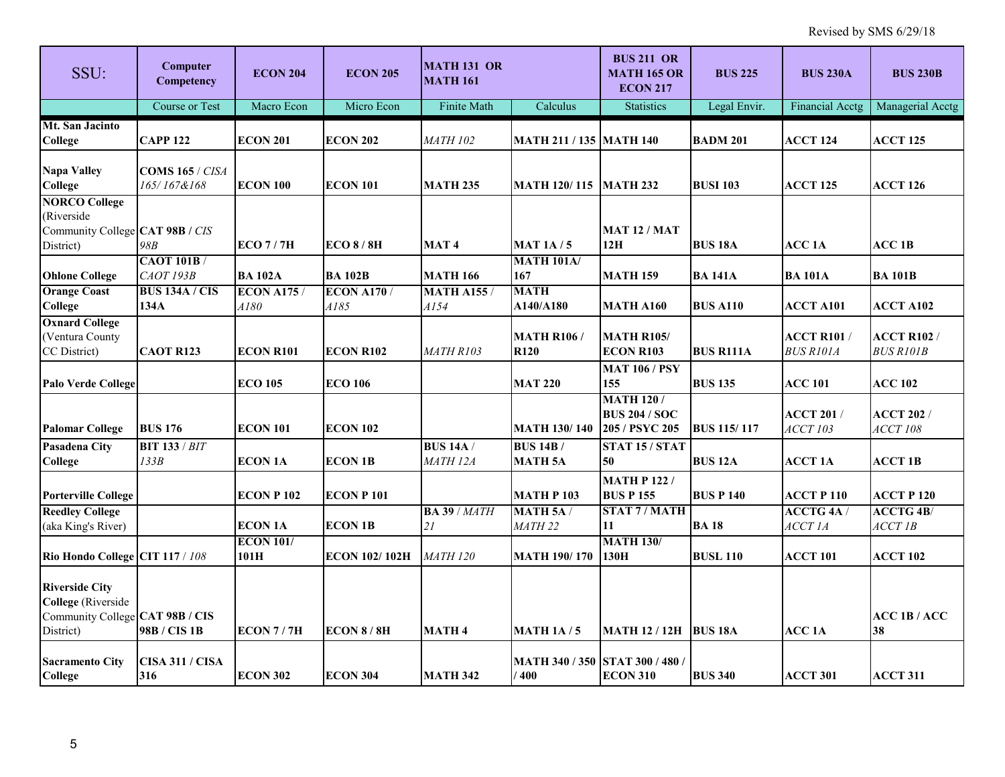| SSU:                                                                                               | Computer<br>Competency                 | <b>ECON 204</b>                   | <b>ECON 205</b>           | <b>MATH 131 OR</b><br><b>MATH 161</b> |                                   | <b>BUS 211 OR</b><br><b>MATH 165 OR</b><br><b>ECON 217</b> | <b>BUS 225</b>     | <b>BUS 230A</b>                        | <b>BUS 230B</b>                        |
|----------------------------------------------------------------------------------------------------|----------------------------------------|-----------------------------------|---------------------------|---------------------------------------|-----------------------------------|------------------------------------------------------------|--------------------|----------------------------------------|----------------------------------------|
|                                                                                                    | Course or Test                         | Macro Econ                        | Micro Econ                | Finite Math                           | Calculus                          | <b>Statistics</b>                                          | Legal Envir.       | <b>Financial Acctg</b>                 | Managerial Acctg                       |
| Mt. San Jacinto<br>College                                                                         | <b>CAPP 122</b>                        | <b>ECON 201</b>                   | <b>ECON 202</b>           | <b>MATH 102</b>                       | <b>MATH 211 / 135 MATH 140</b>    |                                                            | <b>BADM 201</b>    | <b>ACCT 124</b>                        | <b>ACCT 125</b>                        |
| <b>Napa Valley</b><br><b>College</b>                                                               | <b>COMS 165 / CISA</b><br>165/167&168  | <b>ECON 100</b>                   | <b>ECON 101</b>           | <b>MATH 235</b>                       | MATH 120/115                      | <b>MATH 232</b>                                            | <b>BUSI 103</b>    | <b>ACCT 125</b>                        | ACCT 126                               |
| <b>NORCO College</b><br>(Riverside<br>Community College CAT 98B / CIS<br>District)                 | 98B                                    | ECO7/7H                           | $ECO$ 8 / 8H              | <b>MAT4</b>                           | <b>MAT 1A/5</b>                   | <b>MAT 12 / MAT</b><br>12H                                 | <b>BUS 18A</b>     | <b>ACC 1A</b>                          | ACC 1B                                 |
| <b>Ohlone College</b>                                                                              | <b>CAOT 101B</b> /<br><b>CAOT 193B</b> | <b>BA 102A</b>                    | <b>BA 102B</b>            | <b>MATH 166</b>                       | <b>MATH 101A/</b><br>167          | <b>MATH 159</b>                                            | <b>BA 141A</b>     | <b>BA 101A</b>                         | <b>BA 101B</b>                         |
| <b>Orange Coast</b><br>College                                                                     | <b>BUS 134A / CIS</b><br>134A          | <b>ECON A175 /</b><br><i>A180</i> | <b>ECON A170/</b><br>A185 | <b>MATH A155/</b><br>A154             | <b>MATH</b><br>A140/A180          | <b>MATH A160</b>                                           | <b>BUS A110</b>    | <b>ACCT A101</b>                       | <b>ACCT A102</b>                       |
| <b>Oxnard College</b><br>(Ventura County<br>CC District)                                           | <b>CAOT R123</b>                       | <b>ECON R101</b>                  | <b>ECON R102</b>          | <b>MATH R103</b>                      | <b>MATH R106 /</b><br><b>R120</b> | <b>MATH R105/</b><br><b>ECON R103</b>                      | <b>BUS R111A</b>   | <b>ACCT R101 /</b><br><b>BUS R101A</b> | <b>ACCT R102 /</b><br><b>BUS R101B</b> |
| <b>Palo Verde College</b>                                                                          |                                        | <b>ECO 105</b>                    | <b>ECO 106</b>            |                                       | <b>MAT 220</b>                    | <b>MAT 106 / PSY</b><br>155                                | <b>BUS 135</b>     | <b>ACC 101</b>                         | <b>ACC 102</b>                         |
| <b>Palomar College</b>                                                                             | <b>BUS 176</b>                         | <b>ECON 101</b>                   | <b>ECON 102</b>           |                                       | <b>MATH 130/140</b>               | <b>MATH 120/</b><br><b>BUS 204 / SOC</b><br>205 / PSYC 205 | <b>BUS 115/117</b> | <b>ACCT 201/</b><br><b>ACCT 103</b>    | <b>ACCT 202 /</b><br><b>ACCT 108</b>   |
| <b>Pasadena City</b><br><b>College</b>                                                             | <b>BIT 133 / BIT</b><br>133B           | <b>ECON 1A</b>                    | <b>ECON 1B</b>            | <b>BUS 14A/</b><br><b>MATH 12A</b>    | <b>BUS 14B/</b><br><b>MATH 5A</b> | STAT 15 / STAT<br>50                                       | <b>BUS 12A</b>     | <b>ACCT 1A</b>                         | <b>ACCT 1B</b>                         |
| <b>Porterville College</b>                                                                         |                                        | <b>ECON P 102</b>                 | <b>ECON P101</b>          |                                       | <b>MATH P103</b>                  | <b>MATH P 122 /</b><br><b>BUS P 155</b>                    | <b>BUS P 140</b>   | <b>ACCT P 110</b>                      | <b>ACCT P 120</b>                      |
| <b>Reedley College</b><br>(aka King's River)                                                       |                                        | <b>ECON 1A</b>                    | <b>ECON 1B</b>            | <b>BA 39 / MATH</b><br>21             | <b>MATH 5A/</b><br><i>MATH 22</i> | <b>STAT 7/MATH</b><br>11                                   | <b>BA18</b>        | <b>ACCTG4A/</b><br>ACCT <sub>1</sub> A | <b>ACCTG 4B/</b><br>$ACCT$ $IB$        |
| Rio Hondo College CIT 117 / 108                                                                    |                                        | <b>ECON 101/</b><br>101H          | <b>ECON 102/102H</b>      | <b>MATH 120</b>                       | <b>MATH 190/170</b>               | <b>MATH 130/</b><br>130H                                   | <b>BUSL 110</b>    | <b>ACCT 101</b>                        | <b>ACCT 102</b>                        |
| <b>Riverside City</b><br><b>College</b> (Riverside<br>Community College CAT 98B / CIS<br>District) | 98B / CIS 1B                           | ECON7/7H                          | <b>ECON 8/8H</b>          | <b>MATH 4</b>                         | <b>MATH 1A/5</b>                  | <b>MATH 12 / 12H</b>                                       | <b>BUS 18A</b>     | <b>ACC1A</b>                           | <b>ACC 1B / ACC</b><br>38              |
| <b>Sacramento City</b><br><b>College</b>                                                           | <b>CISA 311 / CISA</b><br>316          | <b>ECON 302</b>                   | <b>ECON 304</b>           | <b>MATH 342</b>                       | <b>MATH 340 / 350</b><br>/400     | <b>STAT 300 / 480 /</b><br><b>ECON 310</b>                 | <b>BUS 340</b>     | <b>ACCT 301</b>                        | <b>ACCT 311</b>                        |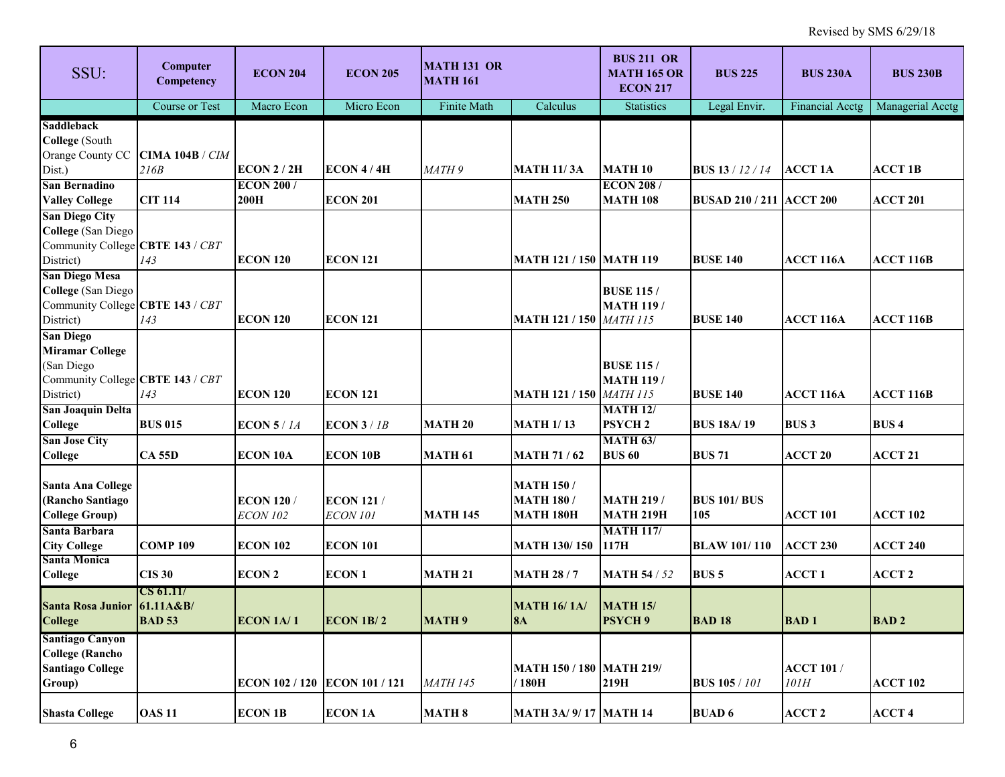| SSU:                                                                                                      | Computer<br>Competency            | <b>ECON 204</b>                      | <b>ECON 205</b>                     | <b>MATH 131 OR</b><br><b>MATH 161</b> |                                                            | <b>BUS 211 OR</b><br><b>MATH 165 OR</b><br><b>ECON 217</b> | <b>BUS 225</b>                  | <b>BUS 230A</b>           | <b>BUS 230B</b>  |
|-----------------------------------------------------------------------------------------------------------|-----------------------------------|--------------------------------------|-------------------------------------|---------------------------------------|------------------------------------------------------------|------------------------------------------------------------|---------------------------------|---------------------------|------------------|
|                                                                                                           | <b>Course or Test</b>             | Macro Econ                           | Micro Econ                          | Finite Math                           | Calculus                                                   | <b>Statistics</b>                                          | Legal Envir.                    | Financial Acctg           | Managerial Acctg |
| <b>Saddleback</b><br>College (South<br>Orange County CC CIMA 104B / CIM                                   |                                   |                                      |                                     |                                       |                                                            |                                                            |                                 |                           |                  |
| Dist.)                                                                                                    | 216B                              | <b>ECON 2 / 2H</b>                   | ECON 4/4H                           | MATH 9                                | <b>MATH 11/3A</b>                                          | <b>MATH 10</b>                                             | <b>BUS 13</b> / 12 / 14         | <b>ACCT 1A</b>            | <b>ACCT 1B</b>   |
| <b>San Bernadino</b><br><b>Valley College</b>                                                             | <b>CIT 114</b>                    | <b>ECON 200/</b><br>200H             | <b>ECON 201</b>                     |                                       | <b>MATH 250</b>                                            | <b>ECON 208/</b><br><b>MATH 108</b>                        | <b>BUSAD 210 / 211 ACCT 200</b> |                           | <b>ACCT 201</b>  |
| <b>San Diego City</b><br><b>College</b> (San Diego<br>Community College CBTE 143 / CBT<br>District)       | 143                               | <b>ECON 120</b>                      | <b>ECON 121</b>                     |                                       | <b>MATH 121 / 150 MATH 119</b>                             |                                                            | <b>BUSE 140</b>                 | <b>ACCT 116A</b>          | <b>ACCT 116B</b> |
| <b>San Diego Mesa</b><br><b>College</b> (San Diego<br>Community College CBTE 143 / CBT<br>District)       | 143                               | <b>ECON 120</b>                      | <b>ECON 121</b>                     |                                       | <b>MATH 121 / 150</b>                                      | <b>BUSE 115 /</b><br><b>MATH 119 /</b><br><b>MATH 115</b>  | <b>BUSE 140</b>                 | <b>ACCT 116A</b>          | <b>ACCT 116B</b> |
| <b>San Diego</b><br><b>Miramar College</b><br>(San Diego<br>Community College CBTE 143 / CBT<br>District) | 143                               | <b>ECON 120</b>                      | <b>ECON 121</b>                     |                                       | <b>MATH 121 / 150 MATH 115</b>                             | <b>BUSE 115 /</b><br><b>MATH 119 /</b>                     | <b>BUSE 140</b>                 | <b>ACCT 116A</b>          | <b>ACCT 116B</b> |
| <b>San Joaquin Delta</b><br><b>College</b>                                                                | <b>BUS 015</b>                    | ECON $5/1A$                          | $ECON$ 3 / 1B                       | <b>MATH 20</b>                        | <b>MATH 1/13</b>                                           | <b>MATH 12/</b><br><b>PSYCH2</b>                           | <b>BUS 18A/19</b>               | <b>BUS3</b>               | <b>BUS4</b>      |
| <b>San Jose City</b><br><b>College</b>                                                                    | <b>CA 55D</b>                     | <b>ECON 10A</b>                      | <b>ECON 10B</b>                     | <b>MATH 61</b>                        | <b>MATH 71 / 62</b>                                        | <b>MATH 63/</b><br><b>BUS 60</b>                           | <b>BUS 71</b>                   | <b>ACCT 20</b>            | <b>ACCT 21</b>   |
| <b>Santa Ana College</b><br>(Rancho Santiago<br><b>College Group)</b>                                     |                                   | <b>ECON 120/</b><br><b>ECON 102</b>  | <b>ECON 121/</b><br><b>ECON 101</b> | <b>MATH 145</b>                       | <b>MATH 150 /</b><br><b>MATH 180 /</b><br><b>MATH 180H</b> | <b>MATH 219 /</b><br><b>MATH 219H</b>                      | <b>BUS 101/ BUS</b><br>105      | <b>ACCT 101</b>           | <b>ACCT 102</b>  |
| Santa Barbara<br><b>City College</b>                                                                      | <b>COMP109</b>                    | <b>ECON 102</b>                      | <b>ECON 101</b>                     |                                       | <b>MATH 130/150</b>                                        | <b>MATH 117/</b><br>117H                                   | <b>BLAW 101/110</b>             | <b>ACCT 230</b>           | <b>ACCT 240</b>  |
| <b>Santa Monica</b><br><b>College</b>                                                                     | <b>CIS 30</b>                     | <b>ECON 2</b>                        | <b>ECON1</b>                        | <b>MATH 21</b>                        | <b>MATH 28/7</b>                                           | <b>MATH 54 / 52</b>                                        | <b>BUS 5</b>                    | <b>ACCT1</b>              | <b>ACCT 2</b>    |
| Santa Rosa Junior 61.11A&B/<br><b>College</b>                                                             | <b>CS 61.11/</b><br><b>BAD 53</b> | ECON 1A/1                            | $ECON$ 1B/2                         | <b>MATH 9</b>                         | <b>MATH 16/1A/</b><br> 8A                                  | <b>MATH 15/</b><br><b>PSYCH 9</b>                          | <b>BAD 18</b>                   | <b>BAD1</b>               | <b>BAD2</b>      |
| <b>Santiago Canyon</b><br><b>College (Rancho</b><br><b>Santiago College</b><br>Group)                     |                                   | <b>ECON 102 / 120 ECON 101 / 121</b> |                                     | <b>MATH 145</b>                       | <b>MATH 150 / 180 MATH 219/</b><br>/180H                   | 219H                                                       | <b>BUS 105/101</b>              | <b>ACCT 101 /</b><br>101H | <b>ACCT 102</b>  |
| <b>Shasta College</b>                                                                                     | <b>OAS 11</b>                     | <b>ECON 1B</b>                       | <b>ECON 1A</b>                      | <b>MATH 8</b>                         | <b>MATH 3A/ 9/17 MATH 14</b>                               |                                                            | <b>BUAD 6</b>                   | <b>ACCT 2</b>             | <b>ACCT4</b>     |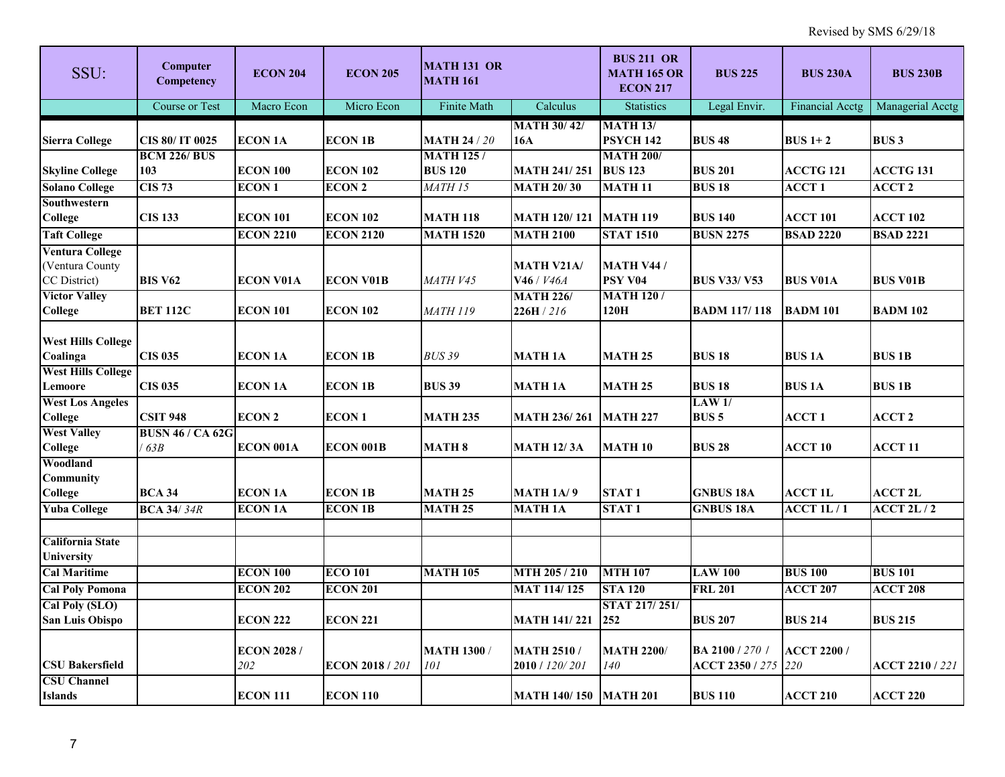| SSU:                                  | Computer<br>Competency  | <b>ECON 204</b>    | <b>ECON 205</b>        | <b>MATH 131 OR</b><br><b>MATH 161</b> |                                  | <b>BUS 211 OR</b><br><b>MATH 165 OR</b><br><b>ECON 217</b> | <b>BUS 225</b>             | <b>BUS 230A</b>        | <b>BUS 230B</b>        |
|---------------------------------------|-------------------------|--------------------|------------------------|---------------------------------------|----------------------------------|------------------------------------------------------------|----------------------------|------------------------|------------------------|
|                                       | <b>Course or Test</b>   | Macro Econ         | Micro Econ             | Finite Math                           | Calculus                         | <b>Statistics</b>                                          | Legal Envir.               | <b>Financial Acctg</b> | Managerial Acctg       |
| <b>Sierra College</b>                 | CIS 80/ IT 0025         | <b>ECON 1A</b>     | <b>ECON 1B</b>         | <b>MATH 24 / 20</b>                   | <b>MATH 30/42/</b><br><b>16A</b> | <b>MATH 13/</b><br><b>PSYCH 142</b>                        | <b>BUS 48</b>              | $BUS 1+2$              | <b>BUS3</b>            |
|                                       | <b>BCM 226/ BUS</b>     |                    |                        | <b>MATH 125/</b>                      |                                  | <b>MATH 200/</b>                                           |                            |                        |                        |
| <b>Skyline College</b>                | 103                     | <b>ECON 100</b>    | <b>ECON 102</b>        | <b>BUS 120</b>                        | <b>MATH 241/251</b>              | <b>BUS 123</b>                                             | <b>BUS 201</b>             | <b>ACCTG 121</b>       | <b>ACCTG 131</b>       |
| <b>Solano College</b>                 | <b>CIS 73</b>           | <b>ECON1</b>       | <b>ECON 2</b>          | MATH <sub>15</sub>                    | <b>MATH 20/30</b>                | <b>MATH 11</b>                                             | <b>BUS 18</b>              | <b>ACCT1</b>           | <b>ACCT 2</b>          |
| Southwestern                          |                         |                    |                        |                                       |                                  |                                                            |                            |                        |                        |
| <b>College</b>                        | <b>CIS 133</b>          | <b>ECON 101</b>    | <b>ECON 102</b>        | <b>MATH 118</b>                       | <b>MATH 120/121</b>              | <b>MATH 119</b>                                            | <b>BUS 140</b>             | <b>ACCT 101</b>        | <b>ACCT 102</b>        |
| <b>Taft College</b>                   |                         | <b>ECON 2210</b>   | <b>ECON 2120</b>       | <b>MATH 1520</b>                      | <b>MATH 2100</b>                 | <b>STAT 1510</b>                                           | <b>BUSN 2275</b>           | <b>BSAD 2220</b>       | <b>BSAD 2221</b>       |
| <b>Ventura College</b>                |                         |                    |                        |                                       |                                  |                                                            |                            |                        |                        |
| (Ventura County                       |                         |                    |                        |                                       | <b>MATH V21A/</b>                | <b>MATH V44 /</b>                                          |                            |                        |                        |
| CC District)                          | <b>BIS V62</b>          | <b>ECON V01A</b>   | <b>ECON V01B</b>       | MATH V45                              | V46 / V46A                       | PSY V04                                                    | <b>BUS V33/V53</b>         | <b>BUS V01A</b>        | <b>BUS V01B</b>        |
| <b>Victor Valley</b>                  |                         |                    |                        |                                       | <b>MATH 226/</b>                 | <b>MATH 120/</b>                                           |                            |                        |                        |
| <b>College</b>                        | <b>BET 112C</b>         | <b>ECON 101</b>    | <b>ECON 102</b>        | <b>MATH 119</b>                       | 226H/216                         | 120H                                                       | <b>BADM 117/118</b>        | <b>BADM 101</b>        | <b>BADM 102</b>        |
|                                       |                         |                    |                        |                                       |                                  |                                                            |                            |                        |                        |
| <b>West Hills College</b><br>Coalinga | <b>CIS 035</b>          | <b>ECON 1A</b>     | <b>ECON 1B</b>         | <b>BUS 39</b>                         | <b>MATH 1A</b>                   | <b>MATH 25</b>                                             | <b>BUS 18</b>              | <b>BUS1A</b>           | <b>BUS 1B</b>          |
| <b>West Hills College</b>             |                         |                    |                        |                                       |                                  |                                                            |                            |                        |                        |
| Lemoore                               | <b>CIS 035</b>          | <b>ECON 1A</b>     | <b>ECON 1B</b>         | <b>BUS 39</b>                         | <b>MATH 1A</b>                   | <b>MATH 25</b>                                             | <b>BUS 18</b>              | <b>BUS1A</b>           | <b>BUS 1B</b>          |
| <b>West Los Angeles</b>               |                         |                    |                        |                                       |                                  |                                                            | LAW1/                      |                        |                        |
| <b>College</b>                        | <b>CSIT 948</b>         | <b>ECON 2</b>      | <b>ECON1</b>           | <b>MATH 235</b>                       | <b>MATH 236/261</b>              | <b>MATH 227</b>                                            | <b>BUS 5</b>               | <b>ACCT1</b>           | <b>ACCT 2</b>          |
| <b>West Valley</b>                    | <b>BUSN 46 / CA 62G</b> |                    |                        |                                       |                                  |                                                            |                            |                        |                        |
| <b>College</b>                        | 63B                     | ECON 001A          | <b>ECON 001B</b>       | <b>MATH 8</b>                         | <b>MATH 12/3A</b>                | <b>MATH 10</b>                                             | <b>BUS 28</b>              | <b>ACCT 10</b>         | <b>ACCT 11</b>         |
| Woodland                              |                         |                    |                        |                                       |                                  |                                                            |                            |                        |                        |
| <b>Community</b>                      |                         |                    |                        |                                       |                                  |                                                            |                            |                        |                        |
| College                               | <b>BCA 34</b>           | <b>ECON 1A</b>     | <b>ECON 1B</b>         | <b>MATH 25</b>                        | <b>MATH 1A/9</b>                 | STAT <sub>1</sub>                                          | <b>GNBUS 18A</b>           | <b>ACCT 1L</b>         | <b>ACCT 2L</b>         |
| <b>Yuba College</b>                   | <b>BCA 34/34R</b>       | <b>ECON 1A</b>     | <b>ECON 1B</b>         | <b>MATH 25</b>                        | <b>MATH 1A</b>                   | <b>STAT1</b>                                               | <b>GNBUS 18A</b>           | $ACCT$ 1L $/1$         | $ACCT$ 2L / 2          |
|                                       |                         |                    |                        |                                       |                                  |                                                            |                            |                        |                        |
| <b>California State</b>               |                         |                    |                        |                                       |                                  |                                                            |                            |                        |                        |
| University                            |                         | <b>ECON 100</b>    | <b>ECO 101</b>         | <b>MATH 105</b>                       | MTH 205 / 210                    | <b>MTH 107</b>                                             | <b>LAW 100</b>             | <b>BUS 100</b>         | <b>BUS 101</b>         |
| <b>Cal Maritime</b>                   |                         |                    |                        |                                       |                                  |                                                            |                            |                        |                        |
| <b>Cal Poly Pomona</b>                |                         | <b>ECON 202</b>    | <b>ECON 201</b>        |                                       | <b>MAT 114/125</b>               | <b>STA 120</b>                                             | <b>FRL 201</b>             | <b>ACCT 207</b>        | <b>ACCT 208</b>        |
| Cal Poly (SLO)                        |                         | <b>ECON 222</b>    | <b>ECON 221</b>        |                                       | <b>MATH 141/221</b>              | STAT 217/251/<br>252                                       | <b>BUS 207</b>             | <b>BUS 214</b>         | <b>BUS 215</b>         |
| <b>San Luis Obispo</b>                |                         |                    |                        |                                       |                                  |                                                            |                            |                        |                        |
|                                       |                         | <b>ECON 2028 /</b> |                        | <b>MATH 1300 /</b>                    | <b>MATH 2510/</b>                | <b>MATH 2200/</b>                                          | BA 2100 / 270 /            | <b>ACCT 2200/</b>      |                        |
| <b>CSU Bakersfield</b>                |                         | 202                | <b>ECON 2018 / 201</b> | 101                                   | 2010 / 120/201                   | 140                                                        | <b>ACCT 2350</b> / 275 220 |                        | <b>ACCT 2210 / 221</b> |
| <b>CSU Channel</b>                    |                         |                    |                        |                                       |                                  |                                                            |                            |                        |                        |
| <b>Islands</b>                        |                         | <b>ECON 111</b>    | <b>ECON 110</b>        |                                       | <b>MATH 140/150</b>              | <b>MATH 201</b>                                            | <b>BUS 110</b>             | <b>ACCT 210</b>        | <b>ACCT 220</b>        |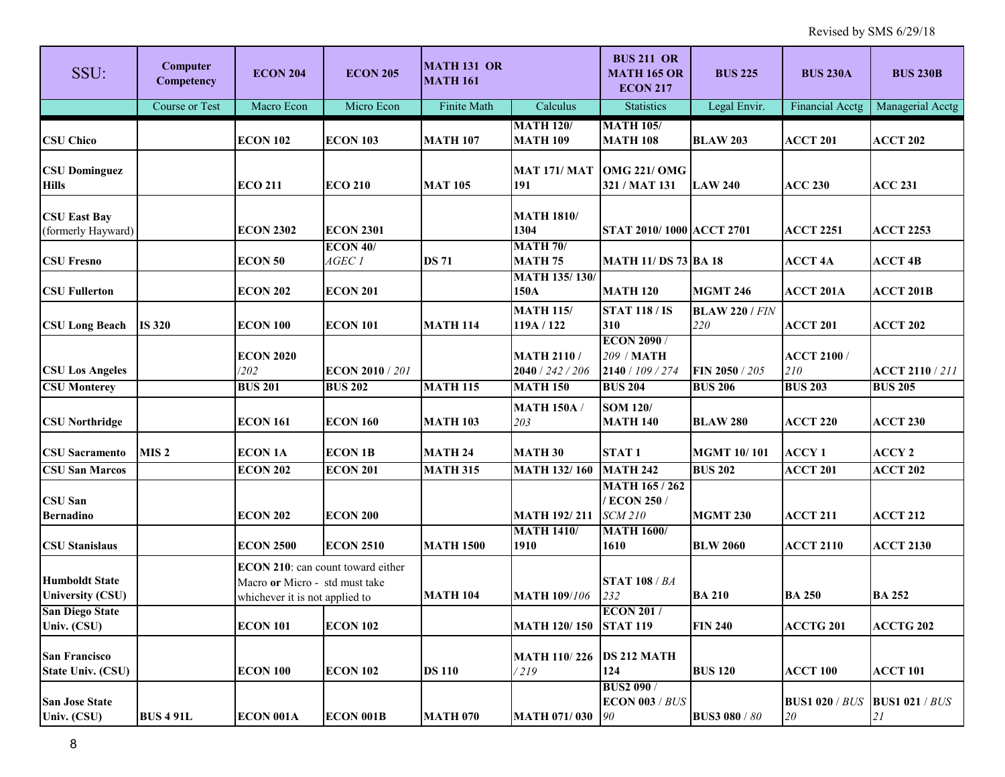| SSU:                                                        | Computer<br>Competency | <b>ECON 204</b>                                                                                       | <b>ECON 205</b>                          | <b>MATH 131 OR</b><br><b>MATH 161</b> |                                                          | <b>BUS 211 OR</b><br><b>MATH 165 OR</b><br><b>ECON 217</b>                     | <b>BUS 225</b>                    | <b>BUS 230A</b>                              | <b>BUS 230B</b>                          |
|-------------------------------------------------------------|------------------------|-------------------------------------------------------------------------------------------------------|------------------------------------------|---------------------------------------|----------------------------------------------------------|--------------------------------------------------------------------------------|-----------------------------------|----------------------------------------------|------------------------------------------|
|                                                             | Course or Test         | Macro Econ                                                                                            | Micro Econ                               | Finite Math                           | Calculus                                                 | <b>Statistics</b>                                                              | Legal Envir.                      | Financial Acctg                              | Managerial Acctg                         |
| <b>CSU Chico</b>                                            |                        | <b>ECON 102</b>                                                                                       | <b>ECON 103</b>                          | <b>MATH 107</b>                       | <b>MATH 120/</b><br><b>MATH 109</b>                      | <b>MATH 105/</b><br><b>MATH 108</b>                                            | <b>BLAW 203</b>                   | <b>ACCT 201</b>                              | <b>ACCT 202</b>                          |
| <b>CSU Dominguez</b><br><b>Hills</b>                        |                        | <b>ECO 211</b>                                                                                        | <b>ECO 210</b>                           | <b>MAT 105</b>                        | <b>MAT 171/ MAT</b><br>191                               | <b>OMG 221/ OMG</b><br>321 / MAT 131                                           | <b>LAW 240</b>                    | <b>ACC 230</b>                               | <b>ACC 231</b>                           |
| <b>CSU East Bay</b><br>(formerly Hayward)                   |                        | <b>ECON 2302</b>                                                                                      | <b>ECON 2301</b>                         |                                       | <b>MATH 1810/</b><br>1304                                | STAT 2010/1000 ACCT 2701                                                       |                                   | <b>ACCT 2251</b>                             | <b>ACCT 2253</b>                         |
| <b>CSU Fresno</b>                                           |                        | <b>ECON 50</b>                                                                                        | $ECON$ 40/<br>AGEC 1                     | <b>DS 71</b>                          | <b>MATH 70/</b><br><b>MATH 75</b>                        | <b>MATH 11/ DS 73 BA 18</b>                                                    |                                   | <b>ACCT 4A</b>                               | <b>ACCT 4B</b>                           |
| <b>CSU Fullerton</b>                                        |                        | <b>ECON 202</b>                                                                                       | <b>ECON 201</b>                          |                                       | <b>MATH 135/130/</b><br>150A                             | <b>MATH 120</b>                                                                | <b>MGMT 246</b>                   | <b>ACCT 201A</b>                             | <b>ACCT 201B</b>                         |
| <b>CSU Long Beach</b>                                       | <b>IS 320</b>          | <b>ECON 100</b>                                                                                       | <b>ECON 101</b>                          | <b>MATH 114</b>                       | <b>MATH 115/</b><br>119A / 122                           | <b>STAT 118 / IS</b><br>310                                                    | <b>BLAW 220 / FIN</b><br>220      | <b>ACCT 201</b>                              | <b>ACCT 202</b>                          |
| <b>CSU Los Angeles</b><br><b>CSU Monterey</b>               |                        | <b>ECON 2020</b><br>/202<br><b>BUS 201</b>                                                            | <b>ECON 2010 / 201</b><br><b>BUS 202</b> | <b>MATH 115</b>                       | <b>MATH 2110/</b><br>2040 / 242 / 206<br><b>MATH 150</b> | <b>ECON 2090/</b><br>209 / MATH<br>2140 / 109 / 274<br><b>BUS 204</b>          | FIN 2050 / 205<br><b>BUS 206</b>  | <b>ACCT 2100 /</b><br>210<br><b>BUS 203</b>  | <b>ACCT 2110 / 211</b><br><b>BUS 205</b> |
| <b>CSU Northridge</b>                                       |                        | <b>ECON 161</b>                                                                                       | <b>ECON 160</b>                          | <b>MATH 103</b>                       | <b>MATH 150A</b> /<br>203                                | <b>SOM 120/</b><br><b>MATH 140</b>                                             | <b>BLAW 280</b>                   | <b>ACCT 220</b>                              | <b>ACCT 230</b>                          |
| <b>CSU</b> Sacramento                                       | MIS <sub>2</sub>       | <b>ECON 1A</b>                                                                                        | <b>ECON 1B</b>                           | <b>MATH 24</b>                        | <b>MATH 30</b>                                           | STAT <sub>1</sub>                                                              | <b>MGMT 10/101</b>                | <b>ACCY1</b>                                 | <b>ACCY 2</b>                            |
| <b>CSU San Marcos</b><br><b>CSU San</b><br><b>Bernadino</b> |                        | <b>ECON 202</b><br><b>ECON 202</b>                                                                    | <b>ECON 201</b><br><b>ECON 200</b>       | <b>MATH 315</b>                       | <b>MATH 132/160</b><br><b>MATH 192/211</b>               | <b>MATH 242</b><br><b>MATH 165 / 262</b><br><b>ECON 250/</b><br><b>SCM 210</b> | <b>BUS 202</b><br><b>MGMT 230</b> | <b>ACCT 201</b><br><b>ACCT 211</b>           | <b>ACCT 202</b><br><b>ACCT 212</b>       |
| <b>CSU Stanislaus</b>                                       |                        | <b>ECON 2500</b>                                                                                      | <b>ECON 2510</b>                         | <b>MATH 1500</b>                      | <b>MATH 1410/</b><br>1910                                | <b>MATH 1600/</b><br>1610                                                      | <b>BLW 2060</b>                   | <b>ACCT 2110</b>                             | <b>ACCT 2130</b>                         |
| <b>Humboldt State</b><br><b>University (CSU)</b>            |                        | ECON 210: can count toward either<br>Macro or Micro - std must take<br>whichever it is not applied to |                                          | <b>MATH 104</b>                       | <b>MATH 109/106</b>                                      | <b>STAT 108 / BA</b><br>232                                                    | <b>BA 210</b>                     | <b>BA 250</b>                                | <b>BA 252</b>                            |
| <b>San Diego State</b><br>Univ. (CSU)                       |                        | <b>ECON 101</b>                                                                                       | <b>ECON 102</b>                          |                                       | MATH 120/150 STAT 119                                    | <b>ECON 201/</b>                                                               | <b>FIN 240</b>                    | <b>ACCTG 201</b>                             | ACCTG 202                                |
| <b>San Francisco</b><br><b>State Univ. (CSU)</b>            |                        | <b>ECON 100</b>                                                                                       | <b>ECON 102</b>                          | <b>DS 110</b>                         | <b>MATH 110/226</b><br>/219                              | <b>DS 212 MATH</b><br>124                                                      | <b>BUS 120</b>                    | <b>ACCT 100</b>                              | <b>ACCT 101</b>                          |
| <b>San Jose State</b><br>Univ. (CSU)                        | <b>BUS 4 91L</b>       | ECON 001A                                                                                             | <b>ECON 001B</b>                         | <b>MATH 070</b>                       | <b>MATH 071/030</b>                                      | <b>BUS2 090/</b><br><b>ECON 003 / BUS</b><br>90                                | <b>BUS3 080 / 80</b>              | <b>BUS1 020 / BUS   BUS1 021 / BUS</b><br>20 | 21                                       |